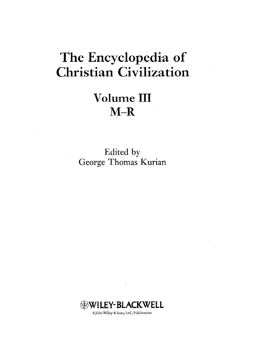# The Encyclopedia of **Christian Civilization**

# Volume III  $M-R$

Edited by George Thomas Kurian



 $\ddot{\cdot}$ 

A John Wiley & Sons, Ltd., Publication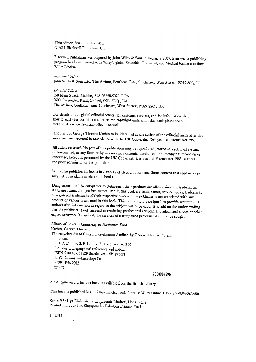This edition first published 2011 © 2011 Blackwell Publishing Ltd

Blackwell Publishing was acquired by John Wiley & Sons in February 2007. Blackwell's publishing program has been merged with Wiley's global Scientific. Technical, and Medical business to form Wiley-Blackwell.

Registered Office John Wiley & Sons Ltd, The Atrium, Southern Gate, Chichester, West Sussex, PO19 8SQ, UK

Editorial Offices 350 Main Street, Malden, MA 02148-5020, USA 9600 Garsington Road, Oxford, OX4 2DQ, UK The Atrium, Southern Gate, Chichester, West Sussex, PO19 8SQ, UK

For details of our global editorial offices, for customer services, and for information about how to apply for permission to reuse the copyright material in this book please see our website at www.wiley.com/wiley-blackwell.

The right of George Thomas Kurian to be identified as the author of the editorial material in this work has been asserted in accordance with the UK Copyright, Designs and Patents Act 1988.

All rights reserved. No part of this publication may be reproduced, stored in a retrieval system, or transmitted, in any form or by any means, electronic, mechanical, photocopying, recording or otherwise, except as permitted by the UK Copyright, Designs and Patents Act 1988, without the prior permission of the publisher.

Wiley also publishes its books in a variety of electronic formats. Some content that appears in print may not be available in electronic books.

Designations used by companies to distinguish their products are often claimed as trademarks. All brand names and product names used in this book are trade names, service marks, trademarks or registered trademarks of their respective owners. The publisher is not associated with any product or vendor mentioned in this book. This publication is designed to provide accurate and authoritative information in regard to the subject matter covered. It is sold on the understanding that the publisher is not engaged in rendering professional services. If professional advice or other expert assistance is required, the services of a competent professional should be sought.

Library of Congress Cataloging-in-Publication Data

Kurian, George Thomas. The encyclopedia of Christian civilization / edited by George Thomas Kurian p. cm. v. 1. A-D - v. 2. E-L - v. 3. M-R - v. 4. S-Z. Includes bibliographical references and index. ISBN 9781405157629 (hardcover: alk. paper) 1. Christianity-Encyclopedias. BR95 .E46 2012 270.03

2008014696

A catalogue record for this book is available from the British Library.

This book is published in the following electronic formats: Wiley Online Library 9780470670606

Set in 9.5/11pt Ehrhardt by Graphicraft Limited, Hong Kong Printed and bound in Singapore by Fabulous Printers Pte Ltd

 $1 2011$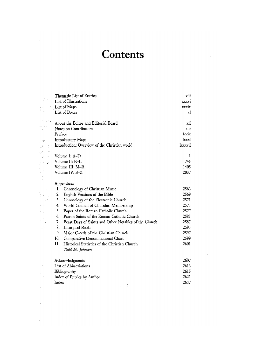# Contents

 $\hat{\mathcal{L}}$ 

 $\sim$   $\sim$ 

 $\mathcal{L}(\mathcal{L}^{\mathcal{L}})$  and  $\mathcal{L}(\mathcal{L}^{\mathcal{L}})$  .

 $\bar{\phantom{a}}$ 

 $\bar{\mathcal{A}}$ 

|                                                                     | Thematic List of Entries                                    | viii    |
|---------------------------------------------------------------------|-------------------------------------------------------------|---------|
|                                                                     | List of Illustrations                                       | xxxvi   |
|                                                                     | List of Maps                                                | xxxix   |
|                                                                     | List of Boxes                                               | хl      |
|                                                                     | About the Editor and Editorial Board                        | xli     |
|                                                                     | Notes on Contributors                                       | xlii    |
|                                                                     | Preface                                                     | lxxix   |
| 広保してい                                                               | <b>Introductory Maps</b>                                    | lxxxi   |
| sail itelih                                                         | Introduction: Overview of the Christian world               | lxxxvii |
| 동문                                                                  |                                                             |         |
| $\mathcal{O}(\epsilon)$                                             | Volume I: A-D                                               | 1       |
|                                                                     | $\therefore$ Volume II: E-L                                 | 745     |
| Partie                                                              | Volume III: M–R                                             | 1405    |
|                                                                     | Volume IV: S-Z                                              | 2037    |
|                                                                     |                                                             |         |
|                                                                     | <b>Appendices</b>                                           |         |
|                                                                     | 1. Chronology of Christian Music                            | 2563    |
| diamon                                                              | 2. English Versions of the Bible                            | 2569    |
| التقائلان                                                           | 3. Chronology of the Electronic Church                      | 2571    |
| $\epsilon_{\rm 2D}$ and $\epsilon_{\rm 1D}$ and $\epsilon_{\rm 2D}$ | 4. World Council of Churches Membership                     | 2573    |
| $\mathbf{v} \in \mathbb{R}^{n \times n}$                            | 5.<br>Popes of the Roman Catholic Church                    | 2577    |
| Bayer a                                                             | 6. Patron Saints of the Roman Catholic Church               | 2583    |
|                                                                     | 7.<br>Feast Days of Saints and Other Notables of the Church | 2587    |
| aj su                                                               | 8.<br>Liturgical Books                                      | 2593    |
|                                                                     | 9.<br>Major Creeds of the Christian Church                  | 2597    |
|                                                                     | 10.<br>Comparative Denominational Chart                     | 2599    |
|                                                                     | 11.<br>Historical Statistics of the Christian Church        | 2601    |
|                                                                     | Todd M. Johnson                                             |         |
|                                                                     | Acknowledgments                                             | 2607    |
| сý 1                                                                | List of Abbreviations                                       | 2613    |
|                                                                     | Bibliography                                                | 2615    |
|                                                                     | Index of Entries by Author                                  | 2621    |
|                                                                     | Index                                                       | 2637    |
|                                                                     |                                                             |         |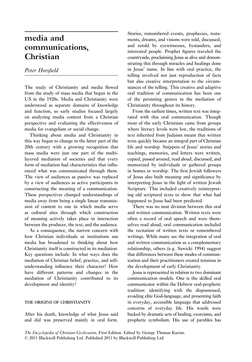# **media and communications, Christian**

## *Peter Horsfield*

The study of Christianity and media flowed from the study of mass media that began in the US in the 1920s. Media and Christianity were understood as separate domains of knowledge and function, so early studies focused largely on analyzing media content from a Christian perspective and evaluating the effectiveness of media for evangelism or social change.

Thinking about media and Christianity in this way began to change in the latter part of the 20th century with a growing recognition that mass media were just one part of the multilayered mediation of societies and that every form of mediation had characteristics that influenced what was communicated through them. The view of audiences as passive was replaced by a view of audiences as active participants in constructing the meaning of a communication. These perspectives changed understandings of media away from being a single linear transmission of content to one in which media serve as cultural sites through which construction of meaning actively takes place in interaction between the producer, the text, and the audience.

As a consequence, the narrow concern with how Christian individuals or institutions use media has broadened to thinking about how Christianity itself is constructed in its mediation. Key questions include: In what ways does the mediation of Christian belief, practice, and selfunderstanding influence their character? How have different patterns and changes in the mediation of Christianity contributed to its development and identity?

#### the origins of christianity

After his death, knowledge of what Jesus said and did was preserved mainly in oral form.

Stories, remembered events, prophecies, testaments, dreams, and visions were told, discussed, and retold by eyewitnesses, bystanders, and interested people. Prophet figures traveled the countryside, proclaiming Jesus as alive and demonstrating this through miracles and healings done in Jesus' name. In line with oral practice, the telling involved not just reproduction of facts but also creative interpretation to the circumstances of the telling. This creative and adaptive oral tradition of communication has been one of the persisting genres in the mediation of Christianity throughout its history.

From the earliest times, written text was integrated with this oral communication. Though most of the early Christians came from groups where literacy levels were low, the traditions of text inherited from Judaism meant that written texts quickly became an integral part of Christian life and worship. Snippets of Jesus' stories and teachings, memories, and letters were written, copied, passed around, read aloud, discussed, and memorized by individuals or gathered groups in homes or worship. The first Jewish followers of Jesus also built meaning and significance by interpreting Jesus in the light of written Jewish Scripture. This included creatively reinterpreting old scriptural texts to show that what had happened to Jesus had been predicted.

There was no neat division between this oral and written communication. Written texts were often a record of oral speech and were themselves read aloud; oral communication included the recitation of written texts or remembered writings. While many see the integration of oral and written communication as a complementary relationship, others (e.g. Sawicki 1994) suggest that differences between these modes of communication and their practitioners created tensions in the development of early Christianity.

Jesus is represented in relation to two dominant communication models. One is the skilled oral communicator within the Hebrew oral-prophetic tradition: identifying with the dispossessed, avoiding elite God-language, and presenting faith in everyday, accessible language that addressed concerns of everyday life. His words were backed by dramatic acts of healing, exorcisms, and prophetic symbolism. His use of parables has

*The Encyclopedia of Christian Civilization*, First Edition. Edited by George Thomas Kurian. © 2011 Blackwell Publishing Ltd. Published 2011 by Blackwell Publishing Ltd.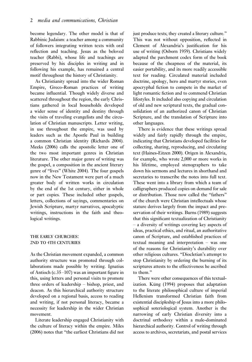become legendary. The other model is that of Rabbinic Judaism: a teacher among a community of followers integrating written texts with oral reflection and teaching. Jesus as the beloved teacher (Rabbi), whose life and teachings are preserved by his disciples in writing and in following his example, has remained a central motif throughout the history of Christianity.

As Christianity spread into the wider Roman Empire, Greco-Roman practices of writing became influential. Though widely diverse and scattered throughout the region, the early Christians gathered in local households developed a wider sense of identity and destiny through the visits of traveling evangelists and the circulation of Christian manuscripts. Letter writing, in use throughout the empire, was used by leaders such as the Apostle Paul in building a common Christian identity (Richards 2004). Meeks (2006) calls the apostolic letter one of the two most important genres in Christian literature. The other major genre of writing was the gospel, a composition in the ancient literary genre of "lives" (White 2004). The four gospels now in the New Testament were part of a much greater body of written works in circulation by the end of the 1st century, either in whole or part copies. These included other gospels, letters, collections of sayings, commentaries on Jewish Scripture, martyr narratives, apocalyptic writings, instructions in the faith and theological writings.

### the early churches: <sup>2</sup>nd to 4th centuries

As the Christian movement expanded, a common authority structure was promoted through collaborations made possible by writing. Ignatius of Antioch (c.35–107) was an important figure in this, using letters and personal visits to promote three orders of leadership – bishop, priest, and deacon. As this hierarchical authority structure developed on a regional basis, access to reading and writing, if not personal literacy, became a necessity for leadership in the wider Christian movement.

Literate leadership engaged Christianity with the culture of literacy within the empire. Miles (2006) notes that "the earliest Christians did not just produce texts; they created a literary culture." This was not without opposition, reflected in Clement of Alexandria's justification for his use of writing (Osborn 1959). Christians widely adapted the parchment codex form of the book because of the cheapness of the material, its easier portability, and its more readily accessible text for reading. Circulated material included doctrine, apology, hero and martyr stories, even apocryphal fiction to compete in the market of light romantic fiction and to commend Christian lifestyles. It included also copying and circulation of old and new scriptural texts, the gradual consolidation of an authorized canon of Christian Scripture, and the translation of Scripture into other languages.

There is evidence that these writings spread widely and fairly rapidly through the empire, indicating that Christians developed facilities for collecting, sharing, reproducing, and circulating text (Haines-Eitzen 2000). Origen in Alexandria, for example, who wrote 2,000 or more works in his lifetime, employed stenographers to take down his sermons and lectures in shorthand and secretaries to transcribe the notes into full text. These went into a library from which a team of calligraphers produced copies on demand for sale or distribution. Those now called the "fathers" of the church were Christian intellectuals whose stature derives largely from the impact and preservation of their writings. Burns (1989) suggests that this significant textualization of Christianity – a diversity of writings covering key aspects of ideas, practical ethics, and ritual, an authoritative canon of Scripture, and established practices of textual meaning and interpretation – was one of the reasons for Christianity's durability over other religious cultures. "Diocletian's attempt to stop Christianity by ordering the burning of its scriptures attests to the effectiveness he ascribed to them."

There were other consequences of this textualization. Küng (1994) proposes that adaptation to the literate philosophical culture of imperial Hellenism transformed Christian faith from existential discipleship of Jesus into a more philosophical soteriological system. Another is the narrowing of early Christian diversity into a doctrinal orthodoxy within a male-dominated hierarchical authority. Control of writing through access to archives, secretariats, and postal services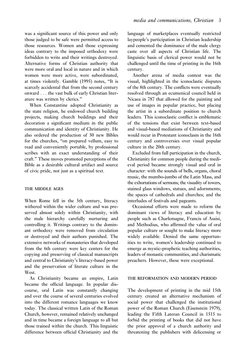was a significant source of this power and only those judged to be safe were permitted access to those resources. Women and those expressing ideas contrary to the imposed orthodoxy were forbidden to write and their writings destroyed. Alternative forms of Christian authority that were more oral and local in nature and in which women were more active, were subordinated, at times violently. Gamble (1995) notes, "It is scarcely accidental that from the second century onward . . . the vast bulk of early Christian literature was written by clerics."

When Constantine adopted Christianity as the state religion, he endowed church building projects, making church buildings and their decoration a significant medium in the public communication and identity of Christianity. He also ordered the production of 50 new Bibles for the churches, "on prepared vellum, easy to read and conveniently portable, by professional scribes with an exact understanding of their craft." These moves promoted perceptions of the Bible as a desirable cultural artifact and source of civic pride, not just as a spiritual text.

#### the middle ages

When Rome fell in the 5th century, literacy withered within the wider culture and was preserved almost solely within Christianity, with the male hierarchy carefully nurturing and controlling it. Writings contrary to the dominant orthodoxy were removed from circulation or destroyed and their authors punished. The extensive networks of monasteries that developed from the 6th century were key centers for the copying and preserving of classical manuscripts and central to Christianity's literacy-based power and the preservation of literate culture in the West.

As Christianity became an empire, Latin became the official language. In popular discourse, oral Latin was constantly changing and over the course of several centuries evolved into the different romance languages we know today. The classical written Latin of the Roman Church, however, remained relatively unchanged and in time became a foreign language to all but those trained within the church. This linguistic difference between official Christianity and the

language of marketplaces eventually restricted laypeople's participation in Christian leadership and cemented the dominance of the male clergy caste over all aspects of Christian life. The linguistic basis of clerical power would not be challenged until the time of printing in the 16th century.

Another arena of media contest was the visual, highlighted in the iconoclastic disputes of the 8th century. The conflicts were eventually resolved through an ecumenical council held in Nicaea in 787 that allowed for the painting and use of images in popular practice, but placing the artist in a subordinate position to church leaders. This iconoclastic conflict is emblematic of the tensions that exist between text-based and visual-based mediations of Christianity and would recur in Protestant iconoclasm in the 16th century and controversies over visual popular culture in the 20th century.

Excluded from full participation in the church, Christianity for common people during the medieval period became strongly visual and oral in character: with the sounds of bells, organs, choral music, the mumbo-jumbo of the Latin Mass, and the exhortations of sermons; the visuality of towers, stained glass windows, statues, and adornments; the spaces of cathedrals and churches; and the interludes of festivals and pageants.

Occasional efforts were made to reform the dominant views of literacy and education by people such as Charlemagne, Francis of Assisi, and Methodius, who affirmed the value of oral popular culture or sought to make literacy more widely available. Denied the same opportunities to write, women's leadership continued to emerge as mystic-prophetic teaching authorities, leaders of monastic communities, and charismatic preachers. However, these were exceptional.

#### the reformation and modern period

The development of printing in the mid 15th century created an alternative mechanism of social power that challenged the institutional power of the Roman Church (Eisenstein 1979), leading the Fifth Lateran Council in 1515 to forbid the printing of books that did not have the prior approval of a church authority and threatening the publishers with delicensing or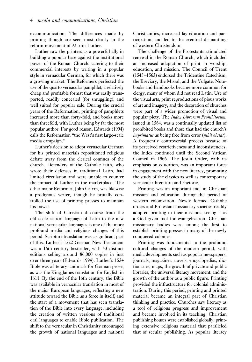excommunication. The differences made by printing though are seen most clearly in the reform movement of Martin Luther.

Luther saw the printers as a powerful ally in building a popular base against the institutional power of the Roman Church, catering to their commercial interests by writing in a popular style in vernacular German, for which there was a growing market. The Reformers perfected the use of the quarto vernacular pamphlet, a relatively cheap and profitable format that was easily transported, readily concealed (for smuggling), and well suited for popular sale. During the crucial years of the Reformation, printing of pamphlets increased more than forty-fold, and books more than threefold, with Luther being by far the most popular author. For good reason, Edwards (1994) calls the Reformation "the West's first large-scale media campaign."

Luther's decision to adopt vernacular German for his printed materials repositioned religious debate away from the clerical confines of the church. Defenders of the Catholic faith, who wrote their defenses in traditional Latin, had limited circulation and were unable to counter the impact of Luther in the marketplace. The other major Reformer, John Calvin, was likewise a prodigious writer, though he brutally controlled the use of printing presses to maintain his power.

The shift of Christian discourse from the old ecclesiastical language of Latin to the new national vernacular languages is one of the more profound media and religious changes of this period. Scripture translation was a significant part of this. Luther's 1522 German New Testament was a 16th century bestseller, with 43 distinct editions selling around 86,000 copies in just over three years (Edwards 1994). Luther's 1534 Bible was a literary landmark for German prose, as was the King James translation for English in 1611. By the end of the 16th century, the Bible was available in vernacular translation in most of the major European languages, reflecting a new attitude toward the Bible as a force in itself, and the start of a movement that has seen translation of the Bible into every language, including the creation of written versions of traditional oral languages to enable Bible publication. The shift to the vernacular in Christianity encouraged the growth of national languages and national Christianities, increased lay education and participation, and led to the eventual dismantling of western Christendom.

The challenge of the Protestants stimulated renewal in the Roman Church, which included an increased adaptation of print in worship, education, and mission. The Council of Trent (1545–1563) endorsed the Tridentine Catechism, the Breviary, the Missal, and the Vulgate. Notebooks and handbooks became more common for clergy, many of whom did not read Latin. Use of the visual arts, print reproductions of pious works of art and imagery, and the decoration of churches were part of a wider promotion of visual and popular piety. The *Index Librorum Prohibitorum,* issued in 1564*,* was a continually updated list of prohibited books and those that had the church's *imprimatur* as being free from error (*nihil obstat*). A frequently controversial process because of its perceived restrictiveness and inconsistencies, the Index continued until the Second Vatican Council in 1966. The Jesuit Order, with its emphasis on education, was an important force in engagement with the new literacy, promoting the study of the classics as well as contemporary vernacular literature and rhetoric.

Printing was an important tool in Christian mission and education during the period of western colonization. Newly formed Catholic orders and Protestant missionary societies readily adopted printing in their missions, seeing it as a God-given tool for evangelization. Christian missionary bodies were among the first to establish printing presses in many of the newly conquered colonies.

Printing was fundamental to the profound cultural changes of the modern period, with media developments such as popular newspapers, journals, magazines, novels, encyclopedias, dictionaries, maps, the growth of private and public libraries, the universal literacy movement, and the growth of the author as a public figure. Printing provided the infrastructure for colonial administration. During this period, printing and printed material became an integral part of Christian thinking and practice. Churches saw literacy as a tool of religious progress and improvement and became involved in its teaching. Christian publishing houses were established globally, printing extensive religious material that paralleled that of secular publishing. As popular literacy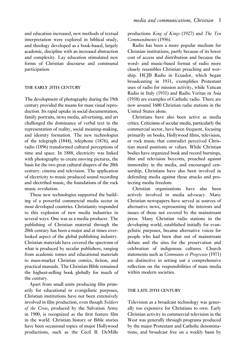and education increased, new methods of textual interpretation were explored in biblical study, and theology developed as a book-based, largely academic, discipline with an increased abstraction and complexity. Lay education stimulated new forms of Christian discourse and communal participation.

#### the early 20th century

The development of photography during the 19th century provided the means for mass visual reproduction. Its rapid uptake in social documentation, family portraits, news media, advertising, and art challenged the dominance of verbal text in the representation of reality, social meaning-making, and identity formation. The new technologies of the telegraph (1844), telephone (1876), and radio (1896) transformed cultural perceptions of time and space. In 1888, electricity was linked with photography to create moving pictures, the basis for the two great cultural shapers of the 20th century: cinema and television. The application of electricity to music produced sound recording and electrified music, the foundations of the rock music revolution.

These new technologies supported the building of a powerful commercial media sector in most developed countries. Christianity responded to this explosion of new media industries in several ways. One was as a media producer. The publishing of Christian material through the 20th century has been a major and at times overlooked aspect of the global publishing industry. Christian materials have covered the spectrum of what is produced by secular publishers, ranging from academic tomes and educational materials to mass-market Christian comics, fiction, and practical manuals. The Christian Bible remained the highest-selling book globally for much of the century.

Apart from small units producing film primarily for educational or evangelistic purposes, Christian institutions have not been extensively involved in film production, even though *Soldiers of the Cross*, produced by the Salvation Army in 1900, is recognized as the first feature film in the world. Christian history or Bible stories have been occasional topics of major Hollywood productions, such as the Cecil B. DeMille

### productions *King of Kings* (1927) and *The Ten Commandments* (1956).

Radio has been a more popular medium for Christian institutions, partly because of its lower cost of access and distribution and because the word- and music-based format of radio more closely resembles Christian preaching and worship. HCJB Radio in Ecuador, which began broadcasting in 1931, exemplifies Protestant uses of radio for mission activity, while Vatican Radio in Italy (1931) and Radio Veritas in Asia (1958) are examples of Catholic radio. There are now around 1600 Christian radio stations in the United States alone.

Christians have also been active as media critics. Criticisms of secular media, particularly the commercial sector, have been frequent, focusing primarily on books, Hollywood films, television, or rock music that contradict perceived Christian moral positions or values. While Christian bodies have organized book and record burnings, film and television boycotts, preached against immorality in the media, and encouraged censorship, Christians have also been involved in defending media against these attacks and protecting media freedom.

Christian organizations have also been actively involved in media advocacy. Many Christian newspapers have served as sources of alternative news, representing the interests and issues of those not covered by the mainstream press. Many Christian radio stations in the developing world, established initially for evangelistic purposes, became alternative voices for people who had been shut out of mainstream debate and the sites for the preservation and celebration of indigenous cultures. Church statements such as *Communio et Progressio* (1971) are distinctive in setting out a comprehensive reflection on the responsibilities of mass media within modern societies.

#### the late 20th century

Television as a broadcast technology was generally too expensive for Christians to own. Early Christian activity in commercial television in the West was generally through programs produced by the major Protestant and Catholic denominations, and broadcast free on a weekly basis by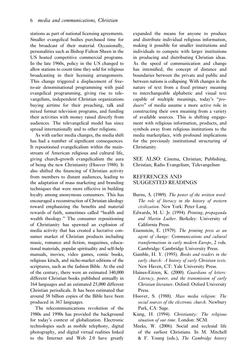stations as part of national licensing agreements. Smaller evangelical bodies purchased time for the broadcast of their material. Occasionally, personalities such as Bishop Fulton Sheen in the US hosted competitive commercial programs. In the late 1960s, policy in the US changed to allow stations to count time they sold for religious broadcasting in their licensing arrangements. This change triggered a displacement of freeto-air denominational programming with paid evangelical programming, giving rise to televangelism, independent Christian organizations buying airtime for their preaching, talk and mixed format television programs, and funding their activities with money raised directly from audiences. The televangelical model has since spread internationally and to other religions.

As with earlier media changes, the media shift has had a number of significant consequences. It repositioned evangelicalism within the mainstream of American religious and cultural life, giving church-growth evangelicalism the aura of being the new Christianity (Hoover 1988). It also shifted the financing of Christian activity from members to distant audiences, leading to the adaptation of mass marketing and branding techniques that were more effective in building loyalty among anonymous consumers. This has encouraged a reconstruction of Christian ideology toward emphasizing the benefits and material rewards of faith, sometimes called "health and wealth theology." The consumer repositioning of Christianity has spawned an explosion of media activity that has created a lucrative consumer market of Christian products including music, romance and fiction, magazines, educational materials, popular spirituality and self-help manuals, movies, video games, comic books, religious kitsch, and niche-market editions of the scriptures, such as the fashion Bible. At the end of the century, there were an estimated 340,000 different Christian books published annually in 164 languages and an estimated 25,000 different Christian periodicals. It has been estimated that around 58 billion copies of the Bible have been produced in 367 languages.

The telecommunications revolution of the 1980s and 1990s has provided the background for today's context of globalization. Electronic technologies such as mobile telephony, digital photography, and digital virtual realities linked to the Internet and Web 2.0 have greatly expanded the means for anyone to produce and distribute individual religious information, making it possible for smaller institutions and individuals to compete with larger institutions in producing and distributing Christian ideas. As the speed of communication and change has intensified, the concept of distance and boundaries between the private and public and between nations is collapsing. With changes in the nature of text from a fixed primary meaning to interchangeable alphabetic and visual text capable of multiple meanings, today's "*produsers*" of media assume a more active role in constructing their own meaning from a variety of available sources. This is shifting engagement with religious information, products, and symbols away from religious institutions to the media marketplace, with profound implications for the previously institutional structuring of Christianity.

SEE ALSO: Cinema, Christian; Publishing, Christian; Radio Evangelism; Televangelism

### REFERENCES AND SUGGESTED READINGS

- Burns, A. (1989). *The power of the written word: The role of literacy in the history of western civilization*. New York: Peter Lang.
- Edwards, M. U. Jr. (1994). *Printing, propaganda and Martin Luther*. Berkeley: University of California Press.
- Eisenstein, E. (1979). *The printing press as an agent of change: Communications and cultural transformations in early modern Europe*, 2 vols. Cambridge: Cambridge University Press.
- Gamble, H. Y. (1995). *Books and readers in the early church: A history of early Christian texts*. New Haven, CT: Yale University Press.
- Haines-Eitzen, K. (2000). *Guardians of letters: Literacy, power, and the transmission of early Christian literature*. Oxford: Oxford University Press.
- Hoover, S. (1988). *Mass media religion: The social sources of the electronic church*. Newbury Park, CA: Sage.
- Küng, H. (1994). *Christianity: The religious situation of our time*. London: SCM.
- Meeks, W. (2006). Social and ecclesial life of the earliest Christians. In M. Mitchell & F. Young (eds.), *The Cambridge history*